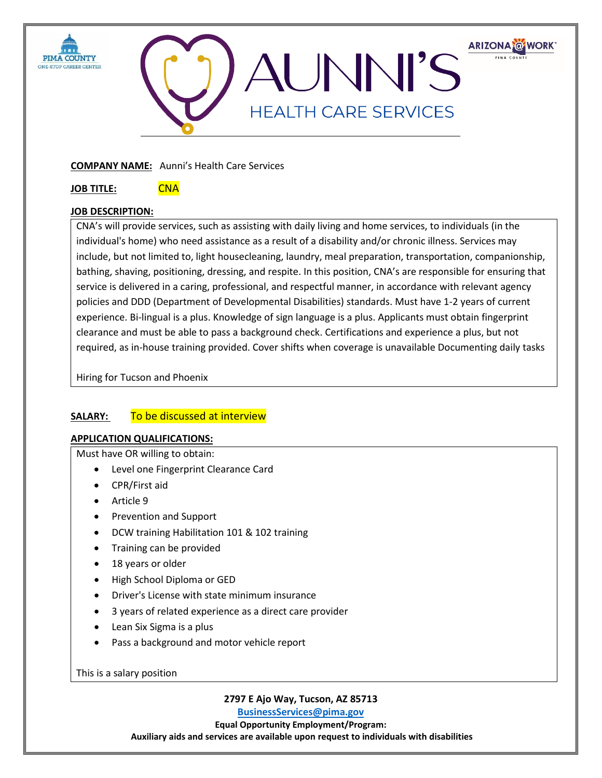



**COMPANY NAME:** Aunni's Health Care Services

**JOB TITLE:** CNA

## **JOB DESCRIPTION:**

CNA's will provide services, such as assisting with daily living and home services, to individuals (in the individual's home) who need assistance as a result of a disability and/or chronic illness. Services may include, but not limited to, light housecleaning, laundry, meal preparation, transportation, companionship, bathing, shaving, positioning, dressing, and respite. In this position, CNA's are responsible for ensuring that service is delivered in a caring, professional, and respectful manner, in accordance with relevant agency policies and DDD (Department of Developmental Disabilities) standards. Must have 1-2 years of current experience. Bi-lingual is a plus. Knowledge of sign language is a plus. Applicants must obtain fingerprint clearance and must be able to pass a background check. Certifications and experience a plus, but not required, as in-house training provided. Cover shifts when coverage is unavailable Documenting daily tasks

Hiring for Tucson and Phoenix

## **SALARY:** To be discussed at interview

## **APPLICATION QUALIFICATIONS:**

Must have OR willing to obtain:

- Level one Fingerprint Clearance Card
- CPR/First aid
- Article 9
- Prevention and Support
- DCW training Habilitation 101 & 102 training
- Training can be provided
- 18 years or older
- High School Diploma or GED
- Driver's License with state minimum insurance
- 3 years of related experience as a direct care provider
- Lean Six Sigma is a plus
- Pass a background and motor vehicle report

This is a salary position

**2797 E Ajo Way, Tucson, AZ 85713**

**[BusinessServices@pima.gov](mailto:BusinessServices@pima.gov) Equal Opportunity Employment/Program: Auxiliary aids and services are available upon request to individuals with disabilities**